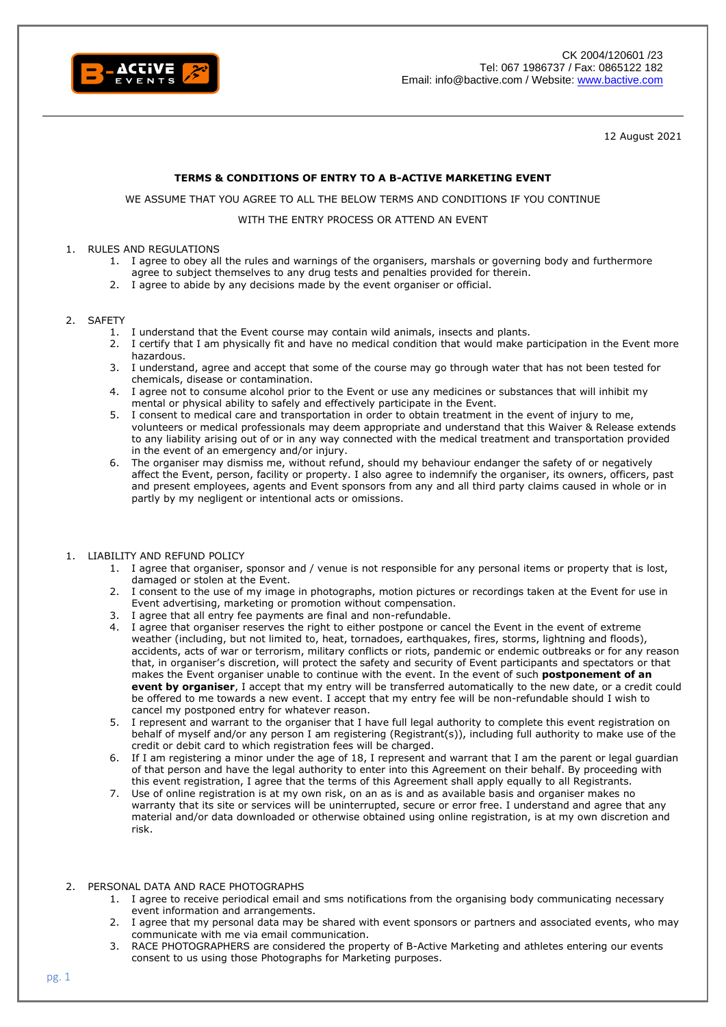

12 August 2021

## **TERMS & CONDITIONS OF ENTRY TO A B-ACTIVE MARKETING EVENT**

WE ASSUME THAT YOU AGREE TO ALL THE BELOW TERMS AND CONDITIONS IF YOU CONTINUE

## WITH THE ENTRY PROCESS OR ATTEND AN EVENT

#### 1. RULES AND REGULATIONS

- 1. I agree to obey all the rules and warnings of the organisers, marshals or governing body and furthermore agree to subject themselves to any drug tests and penalties provided for therein.
- 2. I agree to abide by any decisions made by the event organiser or official.

#### 2. SAFETY

- 1. I understand that the Event course may contain wild animals, insects and plants.
- 2. I certify that I am physically fit and have no medical condition that would make participation in the Event more hazardous.
- 3. I understand, agree and accept that some of the course may go through water that has not been tested for chemicals, disease or contamination.
- 4. I agree not to consume alcohol prior to the Event or use any medicines or substances that will inhibit my mental or physical ability to safely and effectively participate in the Event.
- 5. I consent to medical care and transportation in order to obtain treatment in the event of injury to me, volunteers or medical professionals may deem appropriate and understand that this Waiver & Release extends to any liability arising out of or in any way connected with the medical treatment and transportation provided in the event of an emergency and/or injury.
- 6. The organiser may dismiss me, without refund, should my behaviour endanger the safety of or negatively affect the Event, person, facility or property. I also agree to indemnify the organiser, its owners, officers, past and present employees, agents and Event sponsors from any and all third party claims caused in whole or in partly by my negligent or intentional acts or omissions.

#### 1. LIABILITY AND REFUND POLICY

- 1. I agree that organiser, sponsor and / venue is not responsible for any personal items or property that is lost, damaged or stolen at the Event.
- 2. I consent to the use of my image in photographs, motion pictures or recordings taken at the Event for use in Event advertising, marketing or promotion without compensation.
- 3. I agree that all entry fee payments are final and non-refundable.
- 4. I agree that organiser reserves the right to either postpone or cancel the Event in the event of extreme weather (including, but not limited to, heat, tornadoes, earthquakes, fires, storms, lightning and floods), accidents, acts of war or terrorism, military conflicts or riots, pandemic or endemic outbreaks or for any reason that, in organiser's discretion, will protect the safety and security of Event participants and spectators or that makes the Event organiser unable to continue with the event. In the event of such **postponement of an event by organiser**, I accept that my entry will be transferred automatically to the new date, or a credit could be offered to me towards a new event. I accept that my entry fee will be non-refundable should I wish to cancel my postponed entry for whatever reason.
- 5. I represent and warrant to the organiser that I have full legal authority to complete this event registration on behalf of myself and/or any person I am registering (Registrant(s)), including full authority to make use of the credit or debit card to which registration fees will be charged.
- 6. If I am registering a minor under the age of 18, I represent and warrant that I am the parent or legal guardian of that person and have the legal authority to enter into this Agreement on their behalf. By proceeding with this event registration, I agree that the terms of this Agreement shall apply equally to all Registrants.
- 7. Use of online registration is at my own risk, on an as is and as available basis and organiser makes no warranty that its site or services will be uninterrupted, secure or error free. I understand and agree that any material and/or data downloaded or otherwise obtained using online registration, is at my own discretion and risk.

## 2. PERSONAL DATA AND RACE PHOTOGRAPHS

- 1. I agree to receive periodical email and sms notifications from the organising body communicating necessary event information and arrangements.
- 2. I agree that my personal data may be shared with event sponsors or partners and associated events, who may communicate with me via email communication.
- 3. RACE PHOTOGRAPHERS are considered the property of B-Active Marketing and athletes entering our events consent to us using those Photographs for Marketing purposes.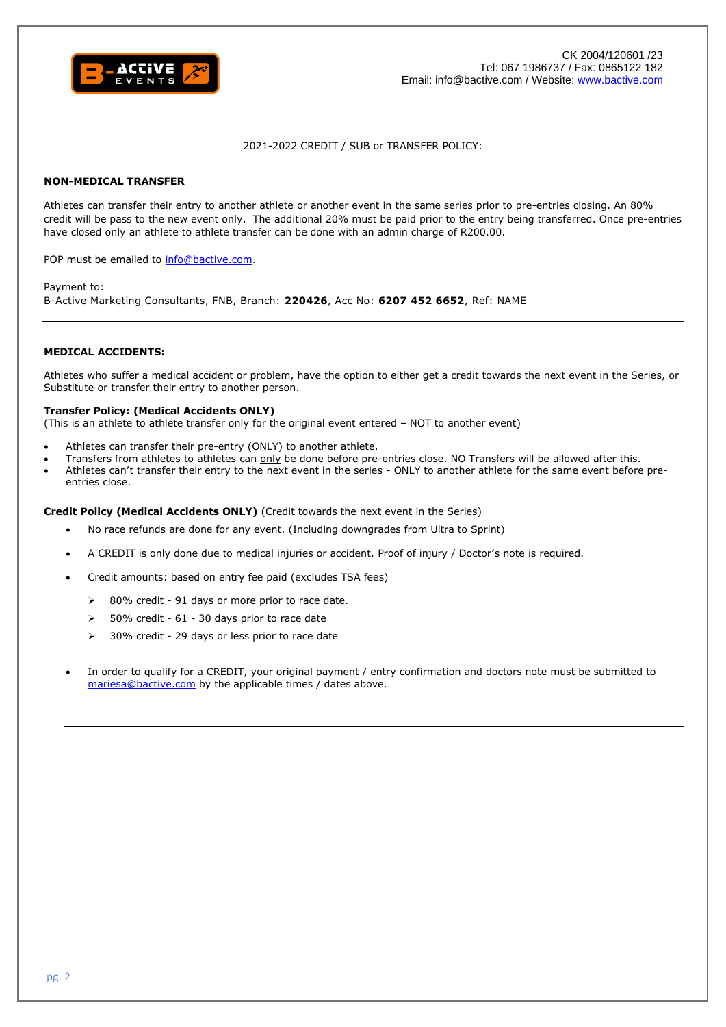

### 2021-2022 CREDIT / SUB or TRANSFER POLICY:

## **NON-MEDICAL TRANSFER**

Athletes can transfer their entry to another athlete or another event in the same series prior to pre-entries closing. An 80% credit will be pass to the new event only. The additional 20% must be paid prior to the entry being transferred. Once pre-entries have closed only an athlete to athlete transfer can be done with an admin charge of R200.00.

POP must be emailed to [info@bactive.com.](mailto:info@bactive.com)

#### Payment to:

B-Active Marketing Consultants, FNB, Branch: **220426**, Acc No: **6207 452 6652**, Ref: NAME

#### **MEDICAL ACCIDENTS:**

Athletes who suffer a medical accident or problem, have the option to either get a credit towards the next event in the Series, or Substitute or transfer their entry to another person.

### **Transfer Policy: (Medical Accidents ONLY)**

(This is an athlete to athlete transfer only for the original event entered – NOT to another event)

- Athletes can transfer their pre-entry (ONLY) to another athlete.
- Transfers from athletes to athletes can only be done before pre-entries close. NO Transfers will be allowed after this.
- Athletes can't transfer their entry to the next event in the series ONLY to another athlete for the same event before preentries close.

#### **Credit Policy (Medical Accidents ONLY)** (Credit towards the next event in the Series)

- No race refunds are done for any event. (Including downgrades from Ultra to Sprint)
- A CREDIT is only done due to medical injuries or accident. Proof of injury / Doctor's note is required.
- Credit amounts: based on entry fee paid (excludes TSA fees)
	- ➢ 80% credit 91 days or more prior to race date.
	- ➢ 50% credit 61 30 days prior to race date
	- 30% credit 29 days or less prior to race date
- In order to qualify for a CREDIT, your original payment / entry confirmation and doctors note must be submitted to [mariesa@bactive.com](mailto:mariesa@bactive.com) by the applicable times / dates above.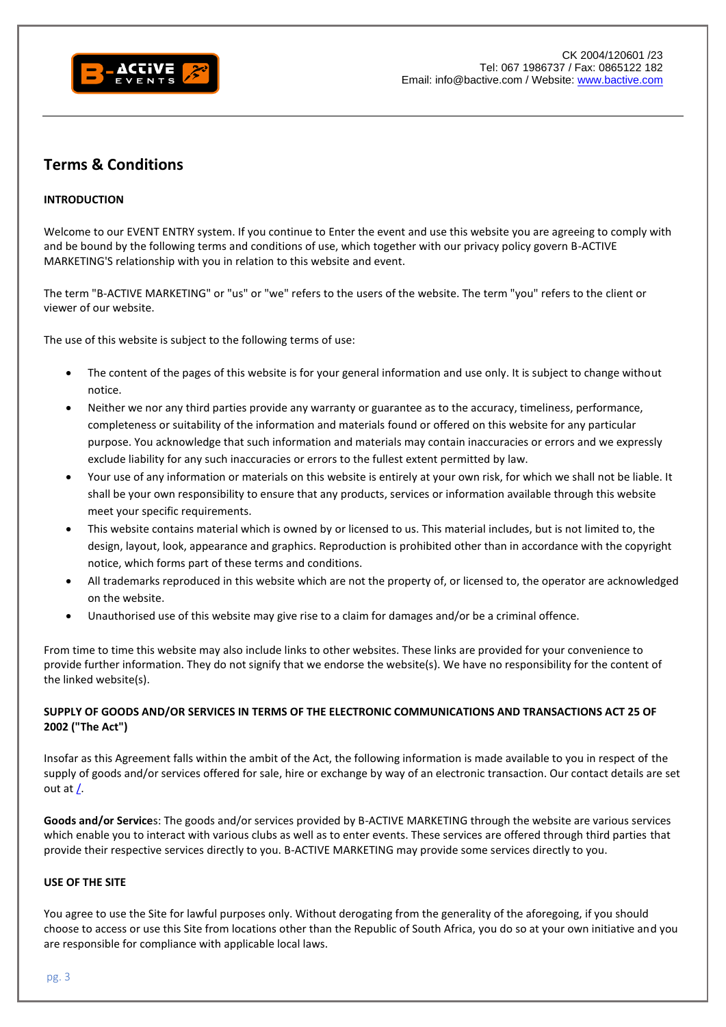

# **Terms & Conditions**

# **INTRODUCTION**

Welcome to our EVENT ENTRY system. If you continue to Enter the event and use this website you are agreeing to comply with and be bound by the following terms and conditions of use, which together with our privacy policy govern B-ACTIVE MARKETING'S relationship with you in relation to this website and event.

The term "B-ACTIVE MARKETING" or "us" or "we" refers to the users of the website. The term "you" refers to the client or viewer of our website.

The use of this website is subject to the following terms of use:

- The content of the pages of this website is for your general information and use only. It is subject to change without notice.
- Neither we nor any third parties provide any warranty or guarantee as to the accuracy, timeliness, performance, completeness or suitability of the information and materials found or offered on this website for any particular purpose. You acknowledge that such information and materials may contain inaccuracies or errors and we expressly exclude liability for any such inaccuracies or errors to the fullest extent permitted by law.
- Your use of any information or materials on this website is entirely at your own risk, for which we shall not be liable. It shall be your own responsibility to ensure that any products, services or information available through this website meet your specific requirements.
- This website contains material which is owned by or licensed to us. This material includes, but is not limited to, the design, layout, look, appearance and graphics. Reproduction is prohibited other than in accordance with the copyright notice, which forms part of these terms and conditions.
- All trademarks reproduced in this website which are not the property of, or licensed to, the operator are acknowledged on the website.
- Unauthorised use of this website may give rise to a claim for damages and/or be a criminal offence.

From time to time this website may also include links to other websites. These links are provided for your convenience to provide further information. They do not signify that we endorse the website(s). We have no responsibility for the content of the linked website(s).

# **SUPPLY OF GOODS AND/OR SERVICES IN TERMS OF THE ELECTRONIC COMMUNICATIONS AND TRANSACTIONS ACT 25 OF 2002 ("The Act")**

Insofar as this Agreement falls within the ambit of the Act, the following information is made available to you in respect of the supply of goods and/or services offered for sale, hire or exchange by way of an electronic transaction. Our contact details are set out a[t /.](http://www.roag.co.za/)

**Goods and/or Service**s: The goods and/or services provided by B-ACTIVE MARKETING through the website are various services which enable you to interact with various clubs as well as to enter events. These services are offered through third parties that provide their respective services directly to you. B-ACTIVE MARKETING may provide some services directly to you.

## **USE OF THE SITE**

You agree to use the Site for lawful purposes only. Without derogating from the generality of the aforegoing, if you should choose to access or use this Site from locations other than the Republic of South Africa, you do so at your own initiative and you are responsible for compliance with applicable local laws.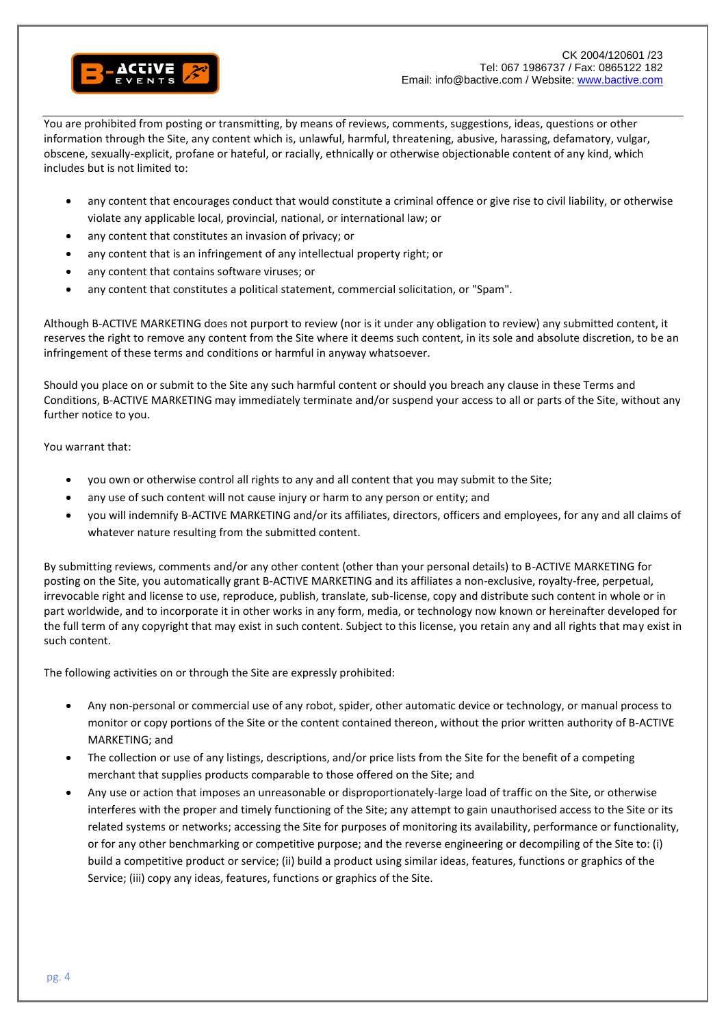

You are prohibited from posting or transmitting, by means of reviews, comments, suggestions, ideas, questions or other information through the Site, any content which is, unlawful, harmful, threatening, abusive, harassing, defamatory, vulgar, obscene, sexually-explicit, profane or hateful, or racially, ethnically or otherwise objectionable content of any kind, which includes but is not limited to:

- any content that encourages conduct that would constitute a criminal offence or give rise to civil liability, or otherwise violate any applicable local, provincial, national, or international law; or
- any content that constitutes an invasion of privacy; or
- any content that is an infringement of any intellectual property right; or
- any content that contains software viruses; or
- any content that constitutes a political statement, commercial solicitation, or "Spam".

Although B-ACTIVE MARKETING does not purport to review (nor is it under any obligation to review) any submitted content, it reserves the right to remove any content from the Site where it deems such content, in its sole and absolute discretion, to be an infringement of these terms and conditions or harmful in anyway whatsoever.

Should you place on or submit to the Site any such harmful content or should you breach any clause in these Terms and Conditions, B-ACTIVE MARKETING may immediately terminate and/or suspend your access to all or parts of the Site, without any further notice to you.

You warrant that:

- you own or otherwise control all rights to any and all content that you may submit to the Site;
- any use of such content will not cause injury or harm to any person or entity; and
- you will indemnify B-ACTIVE MARKETING and/or its affiliates, directors, officers and employees, for any and all claims of whatever nature resulting from the submitted content.

By submitting reviews, comments and/or any other content (other than your personal details) to B-ACTIVE MARKETING for posting on the Site, you automatically grant B-ACTIVE MARKETING and its affiliates a non-exclusive, royalty-free, perpetual, irrevocable right and license to use, reproduce, publish, translate, sub-license, copy and distribute such content in whole or in part worldwide, and to incorporate it in other works in any form, media, or technology now known or hereinafter developed for the full term of any copyright that may exist in such content. Subject to this license, you retain any and all rights that may exist in such content.

The following activities on or through the Site are expressly prohibited:

- Any non-personal or commercial use of any robot, spider, other automatic device or technology, or manual process to monitor or copy portions of the Site or the content contained thereon, without the prior written authority of B-ACTIVE MARKETING; and
- The collection or use of any listings, descriptions, and/or price lists from the Site for the benefit of a competing merchant that supplies products comparable to those offered on the Site; and
- Any use or action that imposes an unreasonable or disproportionately-large load of traffic on the Site, or otherwise interferes with the proper and timely functioning of the Site; any attempt to gain unauthorised access to the Site or its related systems or networks; accessing the Site for purposes of monitoring its availability, performance or functionality, or for any other benchmarking or competitive purpose; and the reverse engineering or decompiling of the Site to: (i) build a competitive product or service; (ii) build a product using similar ideas, features, functions or graphics of the Service; (iii) copy any ideas, features, functions or graphics of the Site.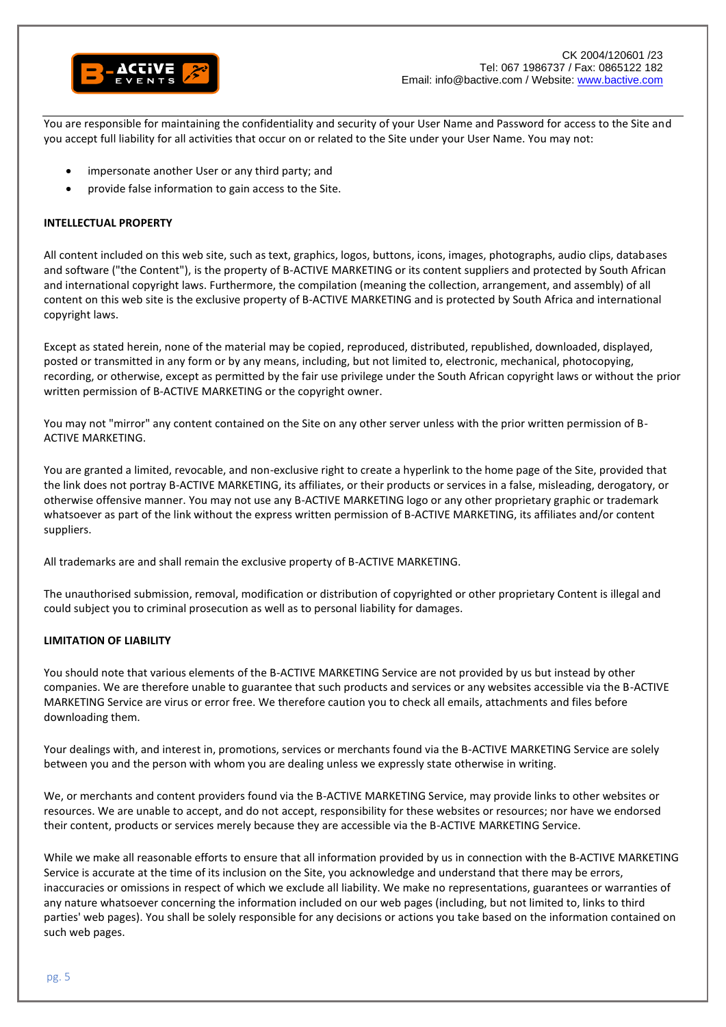

You are responsible for maintaining the confidentiality and security of your User Name and Password for access to the Site and you accept full liability for all activities that occur on or related to the Site under your User Name. You may not:

- impersonate another User or any third party; and
- provide false information to gain access to the Site.

## **INTELLECTUAL PROPERTY**

All content included on this web site, such as text, graphics, logos, buttons, icons, images, photographs, audio clips, databases and software ("the Content"), is the property of B-ACTIVE MARKETING or its content suppliers and protected by South African and international copyright laws. Furthermore, the compilation (meaning the collection, arrangement, and assembly) of all content on this web site is the exclusive property of B-ACTIVE MARKETING and is protected by South Africa and international copyright laws.

Except as stated herein, none of the material may be copied, reproduced, distributed, republished, downloaded, displayed, posted or transmitted in any form or by any means, including, but not limited to, electronic, mechanical, photocopying, recording, or otherwise, except as permitted by the fair use privilege under the South African copyright laws or without the prior written permission of B-ACTIVE MARKETING or the copyright owner.

You may not "mirror" any content contained on the Site on any other server unless with the prior written permission of B-ACTIVE MARKETING.

You are granted a limited, revocable, and non-exclusive right to create a hyperlink to the home page of the Site, provided that the link does not portray B-ACTIVE MARKETING, its affiliates, or their products or services in a false, misleading, derogatory, or otherwise offensive manner. You may not use any B-ACTIVE MARKETING logo or any other proprietary graphic or trademark whatsoever as part of the link without the express written permission of B-ACTIVE MARKETING, its affiliates and/or content suppliers.

All trademarks are and shall remain the exclusive property of B-ACTIVE MARKETING.

The unauthorised submission, removal, modification or distribution of copyrighted or other proprietary Content is illegal and could subject you to criminal prosecution as well as to personal liability for damages.

## **LIMITATION OF LIABILITY**

You should note that various elements of the B-ACTIVE MARKETING Service are not provided by us but instead by other companies. We are therefore unable to guarantee that such products and services or any websites accessible via the B-ACTIVE MARKETING Service are virus or error free. We therefore caution you to check all emails, attachments and files before downloading them.

Your dealings with, and interest in, promotions, services or merchants found via the B-ACTIVE MARKETING Service are solely between you and the person with whom you are dealing unless we expressly state otherwise in writing.

We, or merchants and content providers found via the B-ACTIVE MARKETING Service, may provide links to other websites or resources. We are unable to accept, and do not accept, responsibility for these websites or resources; nor have we endorsed their content, products or services merely because they are accessible via the B-ACTIVE MARKETING Service.

While we make all reasonable efforts to ensure that all information provided by us in connection with the B-ACTIVE MARKETING Service is accurate at the time of its inclusion on the Site, you acknowledge and understand that there may be errors, inaccuracies or omissions in respect of which we exclude all liability. We make no representations, guarantees or warranties of any nature whatsoever concerning the information included on our web pages (including, but not limited to, links to third parties' web pages). You shall be solely responsible for any decisions or actions you take based on the information contained on such web pages.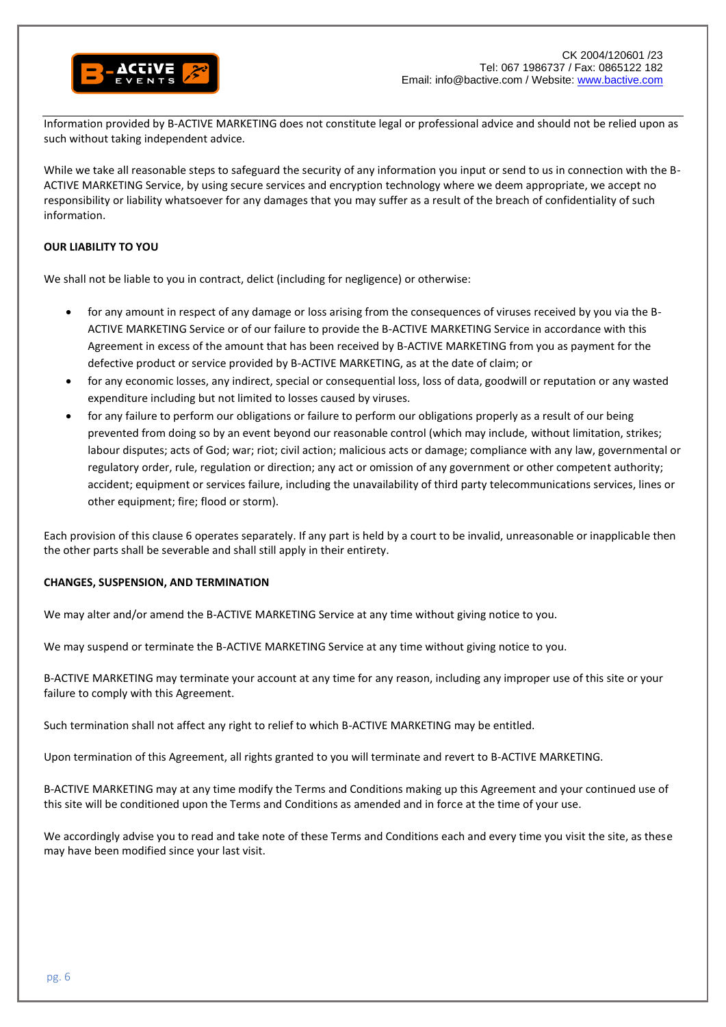

Information provided by B-ACTIVE MARKETING does not constitute legal or professional advice and should not be relied upon as such without taking independent advice.

While we take all reasonable steps to safeguard the security of any information you input or send to us in connection with the B-ACTIVE MARKETING Service, by using secure services and encryption technology where we deem appropriate, we accept no responsibility or liability whatsoever for any damages that you may suffer as a result of the breach of confidentiality of such information.

# **OUR LIABILITY TO YOU**

We shall not be liable to you in contract, delict (including for negligence) or otherwise:

- for any amount in respect of any damage or loss arising from the consequences of viruses received by you via the B-ACTIVE MARKETING Service or of our failure to provide the B-ACTIVE MARKETING Service in accordance with this Agreement in excess of the amount that has been received by B-ACTIVE MARKETING from you as payment for the defective product or service provided by B-ACTIVE MARKETING, as at the date of claim; or
- for any economic losses, any indirect, special or consequential loss, loss of data, goodwill or reputation or any wasted expenditure including but not limited to losses caused by viruses.
- for any failure to perform our obligations or failure to perform our obligations properly as a result of our being prevented from doing so by an event beyond our reasonable control (which may include, without limitation, strikes; labour disputes; acts of God; war; riot; civil action; malicious acts or damage; compliance with any law, governmental or regulatory order, rule, regulation or direction; any act or omission of any government or other competent authority; accident; equipment or services failure, including the unavailability of third party telecommunications services, lines or other equipment; fire; flood or storm).

Each provision of this clause 6 operates separately. If any part is held by a court to be invalid, unreasonable or inapplicable then the other parts shall be severable and shall still apply in their entirety.

## **CHANGES, SUSPENSION, AND TERMINATION**

We may alter and/or amend the B-ACTIVE MARKETING Service at any time without giving notice to you.

We may suspend or terminate the B-ACTIVE MARKETING Service at any time without giving notice to you.

B-ACTIVE MARKETING may terminate your account at any time for any reason, including any improper use of this site or your failure to comply with this Agreement.

Such termination shall not affect any right to relief to which B-ACTIVE MARKETING may be entitled.

Upon termination of this Agreement, all rights granted to you will terminate and revert to B-ACTIVE MARKETING.

B-ACTIVE MARKETING may at any time modify the Terms and Conditions making up this Agreement and your continued use of this site will be conditioned upon the Terms and Conditions as amended and in force at the time of your use.

We accordingly advise you to read and take note of these Terms and Conditions each and every time you visit the site, as these may have been modified since your last visit.